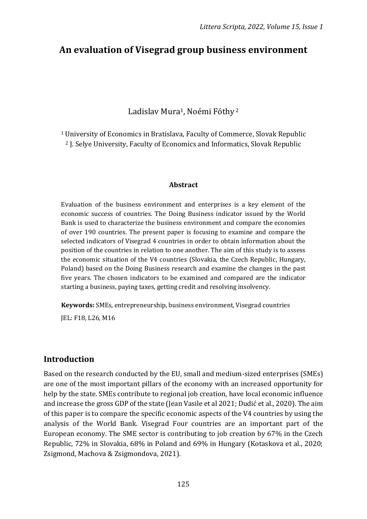# **An evaluation of Visegrad group business environment**

Ladislav Mura<sup>1</sup>, Noémi Fóthy<sup>2</sup>

<sup>1</sup> University of Economics in Bratislava, Faculty of Commerce, Slovak Republic <sup>2</sup> J. Selye University, Faculty of Economics and Informatics, Slovak Republic

#### **Abstract**

Evaluation of the business environment and enterprises is a key element of the economic success of countries. The Doing Business indicator issued by the World Bank is used to characterize the business environment and compare the economies of over 190 countries. The present paper is focusing to examine and compare the selected indicators of Visegrad 4 countries in order to obtain information about the position of the countries in relation to one another. The aim of this study is to assess the economic situation of the V4 countries (Slovakia, the Czech Republic, Hungary, Poland) based on the Doing Business research and examine the changes in the past five years. The chosen indicators to be examined and compared are the indicator starting a business, paying taxes, getting credit and resolving insolvency.

**Keywords:** SMEs, entrepreneurship, business environment, Visegrad countries

JEL: F18, L26, M16

### **Introduction**

Based on the research conducted by the EU, small and medium-sized enterprises (SMEs) are one of the most important pillars of the economy with an increased opportunity for help by the state. SMEs contribute to regional job creation, have local economic influence and increase the gross GDP of the state (Jean Vasile et al 2021; Dudić et al., 2020). The aim of this paper is to compare the specific economic aspects of the V4 countries by using the analysis of the World Bank. Visegrad Four countries are an important part of the European economy. The SME sector is contributing to job creation by 67% in the Czech Republic, 72% in Slovakia, 68% in Poland and 69% in Hungary (Kotaskova et al., 2020; Zsigmond, Machova & Zsigmondova, 2021).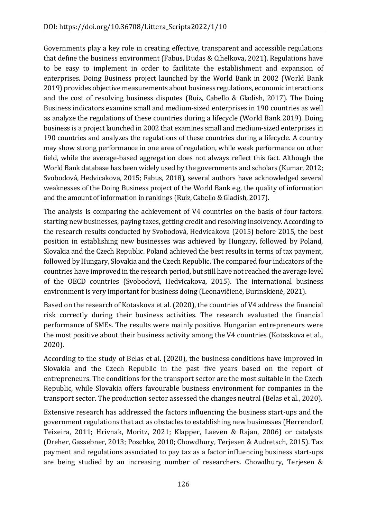Governments play a key role in creating effective, transparent and accessible regulations that define the business environment (Fabus, Dudas & Cihelkova, 2021). Regulations have to be easy to implement in order to facilitate the establishment and expansion of enterprises. Doing Business project launched by the World Bank in 2002 (World Bank 2019) provides objective measurements about business regulations, economic interactions and the cost of resolving business disputes (Ruiz, Cabello & Gladish, 2017). The Doing Business indicators examine small and medium-sized enterprises in 190 countries as well as analyze the regulations of these countries during a lifecycle (World Bank 2019). Doing business is a project launched in 2002 that examines small and medium-sized enterprises in 190 countries and analyzes the regulations of these countries during a lifecycle. A country may show strong performance in one area of regulation, while weak performance on other field, while the average-based aggregation does not always reflect this fact. Although the World Bank database has been widely used by the governments and scholars (Kumar, 2012; Svobodová, Hedvicakova, 2015; Fabus, 2018), several authors have acknowledged several weaknesses of the Doing Business project of the World Bank e.g. the quality of information and the amount of information in rankings (Ruiz, Cabello & Gladish, 2017).

The analysis is comparing the achievement of V4 countries on the basis of four factors: starting new businesses, paying taxes, getting credit and resolving insolvency. According to the research results conducted by Svobodová, Hedvicakova (2015) before 2015, the best position in establishing new businesses was achieved by Hungary, followed by Poland, Slovakia and the Czech Republic. Poland achieved the best results in terms of tax payment, followed by Hungary, Slovakia and the Czech Republic. The compared four indicators of the countries have improved in the research period, but still have not reached the average level of the OECD countries (Svobodová, Hedvicakova, 2015). The international business environment is very important for business doing (Leonavičienė, Burinskienė, 2021).

Based on the research of Kotaskova et al. (2020), the countries of V4 address the financial risk correctly during their business activities. The research evaluated the financial performance of SMEs. The results were mainly positive. Hungarian entrepreneurs were the most positive about their business activity among the V4 countries (Kotaskova et al., 2020).

According to the study of Belas et al. (2020), the business conditions have improved in Slovakia and the Czech Republic in the past five years based on the report of entrepreneurs. The conditions for the transport sector are the most suitable in the Czech Republic, while Slovakia offers favourable business environment for companies in the transport sector. The production sector assessed the changes neutral (Belas et al., 2020).

Extensive research has addressed the factors influencing the business start-ups and the government regulations that act as obstacles to establishing new businesses (Herrendorf, Teixeira, 2011; Hrivnak, Moritz, 2021; Klapper, Laeven & Rajan, 2006) or catalysts (Dreher, Gassebner, 2013; Poschke, 2010; Chowdhury, Terjesen & Audretsch, 2015). Tax payment and regulations associated to pay tax as a factor influencing business start-ups are being studied by an increasing number of researchers. Chowdhury, Terjesen &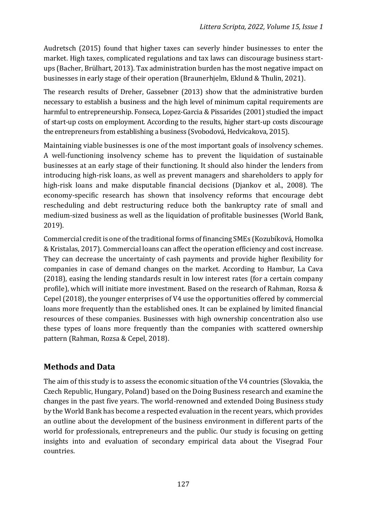Audretsch (2015) found that higher taxes can severly hinder businesses to enter the market. High taxes, complicated regulations and tax laws can discourage business startups (Bacher, Brülhart, 2013). Tax administration burden has the most negative impact on businesses in early stage of their operation (Braunerhjelm, Eklund & Thulin, 2021).

The research results of Dreher, Gassebner (2013) show that the administrative burden necessary to establish a business and the high level of minimum capital requirements are harmful to entrepreneurship. Fonseca, Lopez-Garcia & Pissarides (2001) studied the impact of start-up costs on employment. According to the results, higher start-up costs discourage the entrepreneurs from establishing a business (Svobodová, Hedvicakova, 2015).

Maintaining viable businesses is one of the most important goals of insolvency schemes. A well-functioning insolvency scheme has to prevent the liquidation of sustainable businesses at an early stage of their functioning. It should also hinder the lenders from introducing high-risk loans, as well as prevent managers and shareholders to apply for high-risk loans and make disputable financial decisions (Djankov et al., 2008). The economy-specific research has shown that insolvency reforms that encourage debt rescheduling and debt restructuring reduce both the bankruptcy rate of small and medium-sized business as well as the liquidation of profitable businesses (World Bank, 2019).

Commercial credit is one of the traditional forms of financing SMEs (Kozubíková, Homolka & Kristalas, 2017). Commercial loans can affect the operation efficiency and cost increase. They can decrease the uncertainty of cash payments and provide higher flexibility for companies in case of demand changes on the market. According to Hambur, La Cava (2018), easing the lending standards result in low interest rates (for a certain company profile), which will initiate more investment. Based on the research of Rahman, Rozsa & Cepel (2018), the younger enterprises of V4 use the opportunities offered by commercial loans more frequently than the established ones. It can be explained by limited financial resources of these companies. Businesses with high ownership concentration also use these types of loans more frequently than the companies with scattered ownership pattern (Rahman, Rozsa & Cepel, 2018).

## **Methods and Data**

The aim of this study is to assess the economic situation of the V4 countries (Slovakia, the Czech Republic, Hungary, Poland) based on the Doing Business research and examine the changes in the past five years. The world-renowned and extended Doing Business study by the World Bank has become a respected evaluation in the recent years, which provides an outline about the development of the business environment in different parts of the world for professionals, entrepreneurs and the public. Our study is focusing on getting insights into and evaluation of secondary empirical data about the Visegrad Four countries.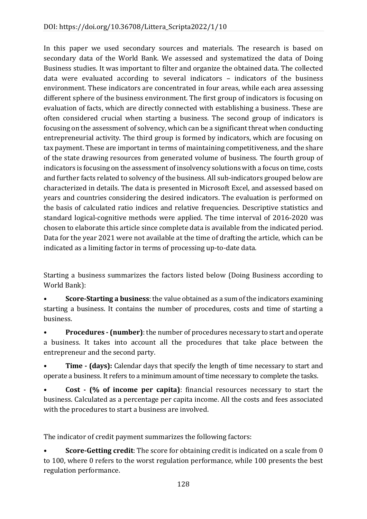In this paper we used secondary sources and materials. The research is based on secondary data of the World Bank. We assessed and systematized the data of Doing Business studies. It was important to filter and organize the obtained data. The collected data were evaluated according to several indicators – indicators of the business environment. These indicators are concentrated in four areas, while each area assessing different sphere of the business environment. The first group of indicators is focusing on evaluation of facts, which are directly connected with establishing a business. These are often considered crucial when starting a business. The second group of indicators is focusing on the assessment of solvency, which can be a significant threat when conducting entrepreneurial activity. The third group is formed by indicators, which are focusing on tax payment. These are important in terms of maintaining competitiveness, and the share of the state drawing resources from generated volume of business. The fourth group of indicators is focusing on the assessment of insolvency solutions with a focus on time, costs and further facts related to solvency of the business. All sub-indicators grouped below are characterized in details. The data is presented in Microsoft Excel, and assessed based on years and countries considering the desired indicators. The evaluation is performed on the basis of calculated ratio indices and relative frequencies. Descriptive statistics and standard logical-cognitive methods were applied. The time interval of 2016-2020 was chosen to elaborate this article since complete data is available from the indicated period. Data for the year 2021 were not available at the time of drafting the article, which can be indicated as a limiting factor in terms of processing up-to-date data.

Starting a business summarizes the factors listed below (Doing Business according to World Bank):

• **Score-Starting a business**: the value obtained as a sum of the indicators examining starting a business. It contains the number of procedures, costs and time of starting a business.

• **Procedures - (number)**: the number of procedures necessary to start and operate a business. It takes into account all the procedures that take place between the entrepreneur and the second party.

• **Time - (days):** Calendar days that specify the length of time necessary to start and operate a business. It refers to a minimum amount of time necessary to complete the tasks.

• **Cost - (% of income per capita)**: financial resources necessary to start the business. Calculated as a percentage per capita income. All the costs and fees associated with the procedures to start a business are involved.

The indicator of credit payment summarizes the following factors:

• **Score-Getting credit**: The score for obtaining credit is indicated on a scale from 0 to 100, where 0 refers to the worst regulation performance, while 100 presents the best regulation performance.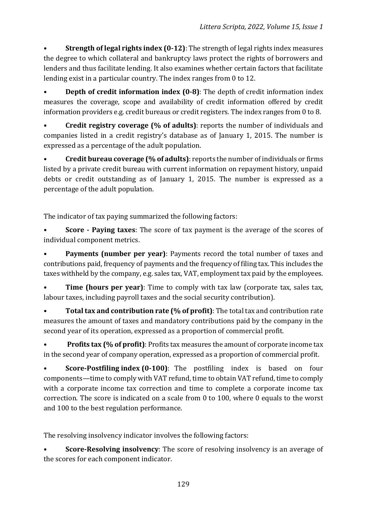• **Strength of legal rights index (0-12)**: The strength of legal rights index measures the degree to which collateral and bankruptcy laws protect the rights of borrowers and lenders and thus facilitate lending. It also examines whether certain factors that facilitate lending exist in a particular country. The index ranges from 0 to 12.

**Depth of credit information index (0-8)**: The depth of credit information index measures the coverage, scope and availability of credit information offered by credit information providers e.g. credit bureaus or credit registers. The index ranges from 0 to 8.

• **Credit registry coverage (% of adults)**: reports the number of individuals and companies listed in a credit registry's database as of January 1, 2015. The number is expressed as a percentage of the adult population.

• **Credit bureau coverage (% of adults)**: reports the number of individuals or firms listed by a private credit bureau with current information on repayment history, unpaid debts or credit outstanding as of January 1, 2015. The number is expressed as a percentage of the adult population.

The indicator of tax paying summarized the following factors:

• **Score - Paying taxes**: The score of tax payment is the average of the scores of individual component metrics.

**Payments (number per year)**: Payments record the total number of taxes and contributions paid, frequency of payments and the frequency of filing tax. This includes the taxes withheld by the company, e.g. sales tax, VAT, employment tax paid by the employees.

**Time (hours per year)**: Time to comply with tax law (corporate tax, sales tax, labour taxes, including payroll taxes and the social security contribution).

• **Total tax and contribution rate (% of profit)**: The total tax and contribution rate measures the amount of taxes and mandatory contributions paid by the company in the second year of its operation, expressed as a proportion of commercial profit.

• **Profits tax (% of profit)**: Profits tax measures the amount of corporate income tax in the second year of company operation, expressed as a proportion of commercial profit.

**Score-Postfiling index (0-100)**: The postfiling index is based on four components—time to comply with VAT refund, time to obtain VAT refund, time to comply with a corporate income tax correction and time to complete a corporate income tax correction. The score is indicated on a scale from 0 to 100, where 0 equals to the worst and 100 to the best regulation performance.

The resolving insolvency indicator involves the following factors:

**Score-Resolving insolvency**: The score of resolving insolvency is an average of the scores for each component indicator.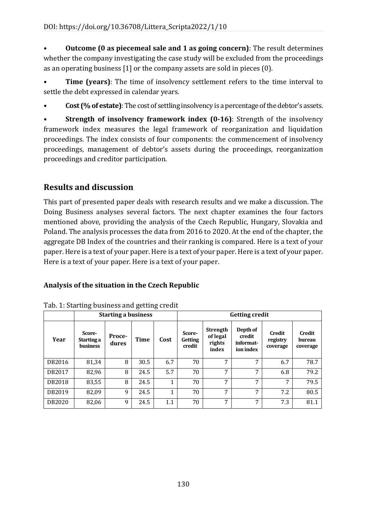• **Outcome (0 as piecemeal sale and 1 as going concern)**: The result determines whether the company investigating the case study will be excluded from the proceedings as an operating business [1] or the company assets are sold in pieces (0).

**Time (years)**: The time of insolvency settlement refers to the time interval to settle the debt expressed in calendar years.

• **Cost (% of estate)**: The cost of settling insolvency is a percentage of the debtor's assets.

**Strength of insolvency framework index (0-16)**: Strength of the insolvency framework index measures the legal framework of reorganization and liquidation proceedings. The index consists of four components: the commencement of insolvency proceedings, management of debtor's assets during the proceedings, reorganization proceedings and creditor participation.

# **Results and discussion**

This part of presented paper deals with research results and we make a discussion. The Doing Business analyses several factors. The next chapter examines the four factors mentioned above, providing the analysis of the Czech Republic, Hungary, Slovakia and Poland. The analysis processes the data from 2016 to 2020. At the end of the chapter, the aggregate DB Index of the countries and their ranking is compared. Here is a text of your paper. Here is a text of your paper. Here is a text of your paper. Here is a text of your paper. Here is a text of your paper. Here is a text of your paper.

### **Analysis of the situation in the Czech Republic**

|        |                                         | <b>Starting a business</b> |             |      | <b>Getting credit</b>              |                                                |                                              |                                       |                              |
|--------|-----------------------------------------|----------------------------|-------------|------|------------------------------------|------------------------------------------------|----------------------------------------------|---------------------------------------|------------------------------|
| Year   | Score-<br>Starting a<br><b>business</b> | Proce-<br>dures            | <b>Time</b> | Cost | Score-<br><b>Getting</b><br>credit | <b>Strength</b><br>of legal<br>rights<br>index | Depth of<br>credit<br>informat-<br>ion index | <b>Credit</b><br>registry<br>coverage | Credit<br>bureau<br>coverage |
| DB2016 | 81,34                                   | 8                          | 30.5        | 6.7  | 70                                 | 7                                              | 7                                            | 6.7                                   | 78.7                         |
| DB2017 | 82,96                                   | 8                          | 24.5        | 5.7  | 70                                 | 7                                              | 7                                            | 6.8                                   | 79.2                         |
| DB2018 | 83,55                                   | 8                          | 24.5        | 1    | 70                                 | 7                                              | 7                                            | 7                                     | 79.5                         |
| DB2019 | 82,09                                   | 9                          | 24.5        | 1    | 70                                 | 7                                              | 7                                            | 7.2                                   | 80.5                         |
| DB2020 | 82,06                                   | 9                          | 24.5        | 1.1  | 70                                 | 7                                              | 7                                            | 7.3                                   | 81.1                         |

| Tab. 1: Starting business and getting credit |  |  |
|----------------------------------------------|--|--|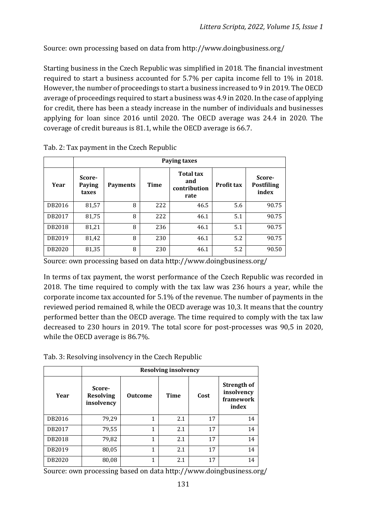Source: own processing based on data from http://www.doingbusiness.org/

Starting business in the Czech Republic was simplified in 2018. The financial investment required to start a business accounted for 5.7% per capita income fell to 1% in 2018. However, the number of proceedings to start a business increased to 9 in 2019. The OECD average of proceedings required to start a business was 4.9 in 2020. In the case of applying for credit, there has been a steady increase in the number of individuals and businesses applying for loan since 2016 until 2020. The OECD average was 24.4 in 2020. The coverage of credit bureaus is 81.1, while the OECD average is 66.7.

|        | <b>Paying taxes</b>       |                 |             |                                                 |                   |                                      |  |  |  |  |  |  |  |
|--------|---------------------------|-----------------|-------------|-------------------------------------------------|-------------------|--------------------------------------|--|--|--|--|--|--|--|
| Year   | Score-<br>Paying<br>taxes | <b>Payments</b> | <b>Time</b> | <b>Total tax</b><br>and<br>contribution<br>rate | <b>Profit tax</b> | Score-<br><b>Postfiling</b><br>index |  |  |  |  |  |  |  |
| DB2016 | 81,57                     | 8               | 222         | 46.5                                            | 5.6               | 90.75                                |  |  |  |  |  |  |  |
| DB2017 | 81,75                     | 8               | 222         | 46.1                                            | 5.1               | 90.75                                |  |  |  |  |  |  |  |
| DB2018 | 81,21                     | 8               | 236         | 46.1                                            | 5.1               | 90.75                                |  |  |  |  |  |  |  |
| DB2019 | 81,42                     | 8               | 230         | 46.1                                            | 5.2               | 90.75                                |  |  |  |  |  |  |  |
| DB2020 | 81,35                     | 8               | 230         | 46.1                                            | 5.2               | 90.50                                |  |  |  |  |  |  |  |

Tab. 2: Tax payment in the Czech Republic

Source: own processing based on data http://www.doingbusiness.org/

In terms of tax payment, the worst performance of the Czech Republic was recorded in 2018. The time required to comply with the tax law was 236 hours a year, while the corporate income tax accounted for 5.1% of the revenue. The number of payments in the reviewed period remained 8, while the OECD average was 10,3. It means that the country performed better than the OECD average. The time required to comply with the tax law decreased to 230 hours in 2019. The total score for post-processes was 90,5 in 2020, while the OECD average is 86.7%.

Tab. 3: Resolving insolvency in the Czech Republic

|        |                                          | <b>Resolving insolvency</b> |             |      |                                                        |  |  |  |  |  |  |  |
|--------|------------------------------------------|-----------------------------|-------------|------|--------------------------------------------------------|--|--|--|--|--|--|--|
| Year   | Score-<br><b>Resolving</b><br>insolvency | <b>Outcome</b>              | <b>Time</b> | Cost | <b>Strength of</b><br>insolvency<br>framework<br>index |  |  |  |  |  |  |  |
| DB2016 | 79,29                                    | 1                           | 2.1         | 17   | 14                                                     |  |  |  |  |  |  |  |
| DB2017 | 79,55                                    | $\mathbf{1}$                | 2.1         | 17   | 14                                                     |  |  |  |  |  |  |  |
| DB2018 | 79,82                                    | $\mathbf{1}$                | 2.1         | 17   | 14                                                     |  |  |  |  |  |  |  |
| DB2019 | 80,05                                    | $\mathbf{1}$                | 2.1         | 17   | 14                                                     |  |  |  |  |  |  |  |
| DB2020 | 80,08                                    | 1                           | 2.1         | 17   | 14                                                     |  |  |  |  |  |  |  |

Source: own processing based on data http://www.doingbusiness.org/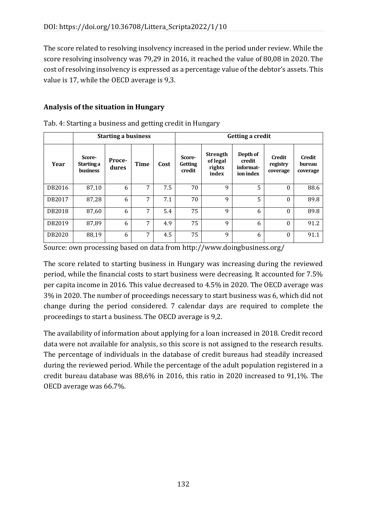The score related to resolving insolvency increased in the period under review. While the score resolving insolvency was 79,29 in 2016, it reached the value of 80,08 in 2020. The cost of resolving insolvency is expressed as a percentage value of the debtor's assets. This value is 17, while the OECD average is 9,3.

### **Analysis of the situation in Hungary**

|        |                                         | <b>Starting a business</b> |             |      | <b>Getting a credit</b>            |                                                |                                              |                                       |                                     |
|--------|-----------------------------------------|----------------------------|-------------|------|------------------------------------|------------------------------------------------|----------------------------------------------|---------------------------------------|-------------------------------------|
| Year   | Score-<br>Starting a<br><b>business</b> | Proce-<br>dures            | <b>Time</b> | Cost | Score-<br><b>Getting</b><br>credit | <b>Strength</b><br>of legal<br>rights<br>index | Depth of<br>credit<br>informat-<br>ion index | <b>Credit</b><br>registry<br>coverage | <b>Credit</b><br>bureau<br>coverage |
| DB2016 | 87,10                                   | 6                          | 7           | 7.5  | 70                                 | 9                                              | 5                                            | $\Omega$                              | 88.6                                |
| DB2017 | 87,28                                   | 6                          | 7           | 7.1  | 70                                 | 9                                              | 5                                            | $\theta$                              | 89.8                                |
| DB2018 | 87,60                                   | 6                          | 7           | 5.4  | 75                                 | 9                                              | 6                                            | $\Omega$                              | 89.8                                |
| DB2019 | 87,89                                   | 6                          | 7           | 4.9  | 75                                 | 9                                              | 6                                            | $\Omega$                              | 91.2                                |
| DB2020 | 88,19                                   | 6                          | 7           | 4.5  | 75                                 | 9                                              | 6                                            | $\Omega$                              | 91.1                                |

Tab. 4: Starting a business and getting credit in Hungary

Source: own processing based on data from http://www.doingbusiness.org/

The score related to starting business in Hungary was increasing during the reviewed period, while the financial costs to start business were decreasing. It accounted for 7.5% per capita income in 2016. This value decreased to 4.5% in 2020. The OECD average was 3% in 2020. The number of proceedings necessary to start business was 6, which did not change during the period considered. 7 calendar days are required to complete the proceedings to start a business. The OECD average is 9,2.

The availability of information about applying for a loan increased in 2018. Credit record data were not available for analysis, so this score is not assigned to the research results. The percentage of individuals in the database of credit bureaus had steadily increased during the reviewed period. While the percentage of the adult population registered in a credit bureau database was 88,6% in 2016, this ratio in 2020 increased to 91,1%. The OECD average was 66.7%.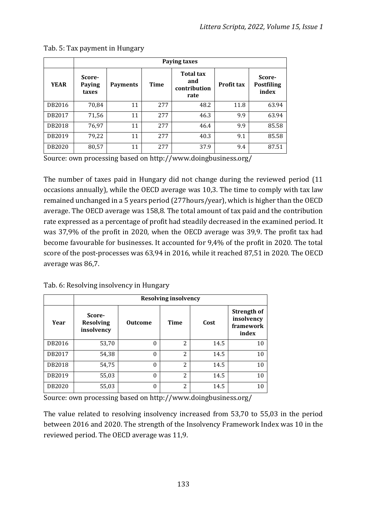|             | <b>Paying taxes</b>       |                 |             |                                                 |                   |                                      |  |  |  |  |  |  |  |
|-------------|---------------------------|-----------------|-------------|-------------------------------------------------|-------------------|--------------------------------------|--|--|--|--|--|--|--|
| <b>YEAR</b> | Score-<br>Paying<br>taxes | <b>Payments</b> | <b>Time</b> | <b>Total tax</b><br>and<br>contribution<br>rate | <b>Profit tax</b> | Score-<br><b>Postfiling</b><br>index |  |  |  |  |  |  |  |
| DB2016      | 70,84                     | 11              | 277         | 48.2                                            | 11.8              | 63.94                                |  |  |  |  |  |  |  |
| DB2017      | 71,56                     | 11              | 277         | 46.3                                            | 9.9               | 63.94                                |  |  |  |  |  |  |  |
| DB2018      | 76,97                     | 11              | 277         | 46.4                                            | 9.9               | 85.58                                |  |  |  |  |  |  |  |
| DB2019      | 79,22                     | 11              | 277         | 40.3                                            | 9.1               | 85.58                                |  |  |  |  |  |  |  |
| DB2020      | 80,57                     | 11              | 277         | 37.9                                            | 9.4               | 87.51                                |  |  |  |  |  |  |  |

Tab. 5: Tax payment in Hungary

Source: own processing based on http://www.doingbusiness.org/

The number of taxes paid in Hungary did not change during the reviewed period (11 occasions annually), while the OECD average was 10,3. The time to comply with tax law remained unchanged in a 5 years period (277hours/year), which is higher than the OECD average. The OECD average was 158,8. The total amount of tax paid and the contribution rate expressed as a percentage of profit had steadily decreased in the examined period. It was 37,9% of the profit in 2020, when the OECD average was 39,9. The profit tax had become favourable for businesses. It accounted for 9,4% of the profit in 2020. The total score of the post-processes was 63,94 in 2016, while it reached 87,51 in 2020. The OECD average was 86,7.

Tab. 6: Resolving insolvency in Hungary

|        |                                          | <b>Resolving insolvency</b> |                          |      |                                                        |  |  |  |  |  |  |  |  |
|--------|------------------------------------------|-----------------------------|--------------------------|------|--------------------------------------------------------|--|--|--|--|--|--|--|--|
| Year   | Score-<br><b>Resolving</b><br>insolvency | <b>Outcome</b>              | <b>Time</b>              | Cost | <b>Strength of</b><br>insolvency<br>framework<br>index |  |  |  |  |  |  |  |  |
| DB2016 | 53,70                                    | 0                           | $\overline{\mathcal{L}}$ | 14.5 | 10                                                     |  |  |  |  |  |  |  |  |
| DB2017 | 54,38                                    | 0                           | $\overline{c}$           | 14.5 | 10                                                     |  |  |  |  |  |  |  |  |
| DB2018 | 54,75                                    | $\Omega$                    | $\overline{c}$           | 14.5 | 10                                                     |  |  |  |  |  |  |  |  |
| DB2019 | 55,03                                    | $\Omega$                    | $\overline{\mathcal{L}}$ | 14.5 | 10                                                     |  |  |  |  |  |  |  |  |
| DB2020 | 55,03                                    | 0                           | $\overline{c}$           | 14.5 | 10                                                     |  |  |  |  |  |  |  |  |

Source: own processing based on http://www.doingbusiness.org/

The value related to resolving insolvency increased from 53,70 to 55,03 in the period between 2016 and 2020. The strength of the Insolvency Framework Index was 10 in the reviewed period. The OECD average was 11,9.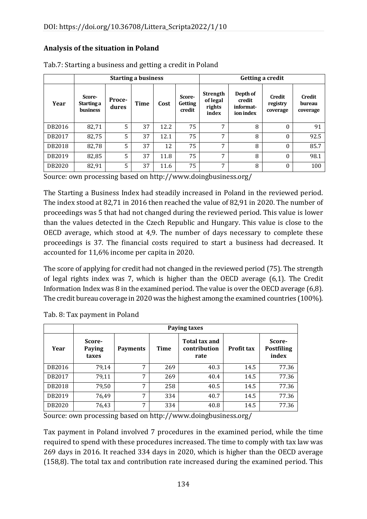#### **Analysis of the situation in Poland**

|        |                                         |                 | <b>Starting a business</b> |      |                                    | Getting a credit                               |                                              |                                       |                                     |
|--------|-----------------------------------------|-----------------|----------------------------|------|------------------------------------|------------------------------------------------|----------------------------------------------|---------------------------------------|-------------------------------------|
| Year   | Score-<br>Starting a<br><b>business</b> | Proce-<br>dures | <b>Time</b>                | Cost | Score-<br><b>Getting</b><br>credit | <b>Strength</b><br>of legal<br>rights<br>index | Depth of<br>credit<br>informat-<br>ion index | <b>Credit</b><br>registry<br>coverage | <b>Credit</b><br>bureau<br>coverage |
| DB2016 | 82,71                                   | 5               | 37                         | 12.2 | 75                                 | 7                                              | 8                                            | $\theta$                              | 91                                  |
| DB2017 | 82,75                                   | 5               | 37                         | 12.1 | 75                                 | 7                                              | 8                                            | $\theta$                              | 92.5                                |
| DB2018 | 82,78                                   | 5               | 37                         | 12   | 75                                 | 7                                              | 8                                            | $\theta$                              | 85.7                                |
| DB2019 | 82,85                                   | 5               | 37                         | 11.8 | 75                                 | 7                                              | 8                                            | $\theta$                              | 98.1                                |
| DB2020 | 82,91                                   | 5               | 37                         | 11.6 | 75                                 | 7                                              | 8                                            | $\theta$                              | 100                                 |

Tab.7: Starting a business and getting a credit in Poland

Source: own processing based on http://www.doingbusiness.org/

The Starting a Business Index had steadily increased in Poland in the reviewed period. The index stood at 82,71 in 2016 then reached the value of 82,91 in 2020. The number of proceedings was 5 that had not changed during the reviewed period. This value is lower than the values detected in the Czech Republic and Hungary. This value is close to the OECD average, which stood at 4,9. The number of days necessary to complete these proceedings is 37. The financial costs required to start a business had decreased. It accounted for 11,6% income per capita in 2020.

The score of applying for credit had not changed in the reviewed period (75). The strength of legal rights index was 7, which is higher than the OECD average (6,1). The Credit Information Index was 8 in the examined period. The value is over the OECD average (6,8). The credit bureau coverage in 2020 was the highest among the examined countries (100%).

|        |                           | Paying taxes    |             |                                              |                   |                                      |  |  |  |  |  |  |  |
|--------|---------------------------|-----------------|-------------|----------------------------------------------|-------------------|--------------------------------------|--|--|--|--|--|--|--|
| Year   | Score-<br>Paying<br>taxes | <b>Payments</b> | <b>Time</b> | <b>Total tax and</b><br>contribution<br>rate | <b>Profit tax</b> | Score-<br><b>Postfiling</b><br>index |  |  |  |  |  |  |  |
| DB2016 | 79,14                     | 7               | 269         | 40.3                                         | 14.5              | 77.36                                |  |  |  |  |  |  |  |
| DB2017 | 79,11                     | 7               | 269         | 40.4                                         | 14.5              | 77.36                                |  |  |  |  |  |  |  |
| DB2018 | 79,50                     | 7               | 258         | 40.5                                         | 14.5              | 77.36                                |  |  |  |  |  |  |  |
| DB2019 | 76,49                     | 7               | 334         | 40.7                                         | 14.5              | 77.36                                |  |  |  |  |  |  |  |
| DB2020 | 76,43                     | 7               | 334         | 40.8                                         | 14.5              | 77.36                                |  |  |  |  |  |  |  |

Tab. 8: Tax payment in Poland

Source: own processing based on http://www.doingbusiness.org/

Tax payment in Poland involved 7 procedures in the examined period, while the time required to spend with these procedures increased. The time to comply with tax law was 269 days in 2016. It reached 334 days in 2020, which is higher than the OECD average (158,8). The total tax and contribution rate increased during the examined period. This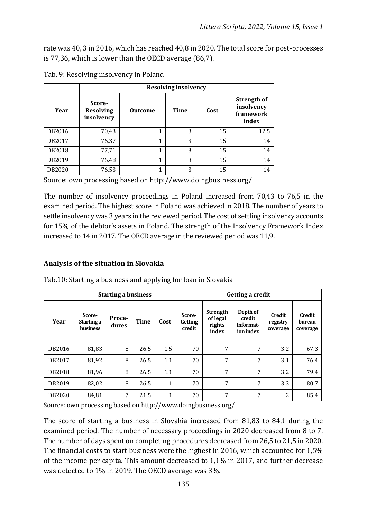rate was 40, 3 in 2016, which has reached 40,8 in 2020. The total score for post-processes is 77,36, which is lower than the OECD average (86,7).

|        | <b>Resolving insolvency</b>              |                |      |      |                                                 |  |  |  |  |  |  |  |
|--------|------------------------------------------|----------------|------|------|-------------------------------------------------|--|--|--|--|--|--|--|
| Year   | Score-<br><b>Resolving</b><br>insolvency | <b>Outcome</b> | Time | Cost | Strength of<br>insolvency<br>framework<br>index |  |  |  |  |  |  |  |
| DB2016 | 70,43                                    |                | 3    | 15   | 12.5                                            |  |  |  |  |  |  |  |
| DB2017 | 76,37                                    | 1              | 3    | 15   | 14                                              |  |  |  |  |  |  |  |
| DB2018 | 77,71                                    | 1              | 3    | 15   | 14                                              |  |  |  |  |  |  |  |
| DB2019 | 76,48                                    | 1              | 3    | 15   | 14                                              |  |  |  |  |  |  |  |
| DB2020 | 76,53                                    | 1              | 3    | 15   | 14                                              |  |  |  |  |  |  |  |

Tab. 9: Resolving insolvency in Poland

Source: own processing based on http://www.doingbusiness.org/

The number of insolvency proceedings in Poland increased from 70,43 to 76,5 in the examined period. The highest score in Poland was achieved in 2018. The number of years to settle insolvency was 3 years in the reviewed period. The cost of settling insolvency accounts for 15% of the debtor's assets in Poland. The strength of the Insolvency Framework Index increased to 14 in 2017. The OECD average in the reviewed period was 11,9.

#### **Analysis of the situation in Slovakia**

|        |                                         | <b>Starting a business</b> |             |              | Getting a credit                   |                                                |                                              |                                |                                     |
|--------|-----------------------------------------|----------------------------|-------------|--------------|------------------------------------|------------------------------------------------|----------------------------------------------|--------------------------------|-------------------------------------|
| Year   | Score-<br>Starting a<br><b>business</b> | Proce-<br>dures            | <b>Time</b> | Cost         | Score-<br><b>Getting</b><br>credit | <b>Strength</b><br>of legal<br>rights<br>index | Depth of<br>credit<br>informat-<br>ion index | Credit<br>registry<br>coverage | <b>Credit</b><br>bureau<br>coverage |
| DB2016 | 81,83                                   | 8                          | 26.5        | 1.5          | 70                                 | 7                                              | 7                                            | 3.2                            | 67.3                                |
| DB2017 | 81,92                                   | 8                          | 26.5        | 1.1          | 70                                 | 7                                              | 7                                            | 3.1                            | 76.4                                |
| DB2018 | 81,96                                   | 8                          | 26.5        | 1.1          | 70                                 | 7                                              | 7                                            | 3.2                            | 79.4                                |
| DB2019 | 82,02                                   | 8                          | 26.5        | $\mathbf{1}$ | 70                                 | 7                                              | 7                                            | 3.3                            | 80.7                                |
| DB2020 | 84,81                                   | 7                          | 21.5        | 1            | 70                                 | 7                                              | 7                                            | 2                              | 85.4                                |

Tab.10: Starting a business and applying for loan in Slovakia

Source: own processing based on http://www.doingbusiness.org/

The score of starting a business in Slovakia increased from 81,83 to 84,1 during the examined period. The number of necessary proceedings in 2020 decreased from 8 to 7. The number of days spent on completing procedures decreased from 26,5 to 21,5 in 2020. The financial costs to start business were the highest in 2016, which accounted for 1,5% of the income per capita. This amount decreased to 1,1% in 2017, and further decrease was detected to 1% in 2019. The OECD average was 3%.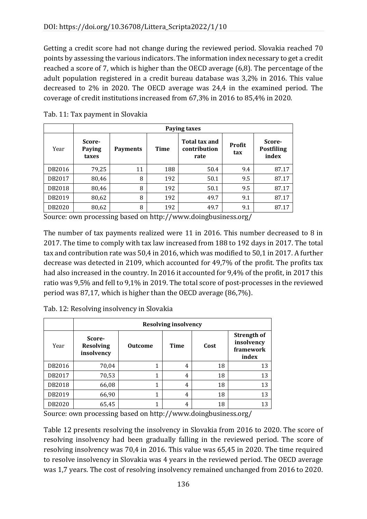Getting a credit score had not change during the reviewed period. Slovakia reached 70 points by assessing the various indicators. The information index necessary to get a credit reached a score of 7, which is higher than the OECD average (6,8). The percentage of the adult population registered in a credit bureau database was 3,2% in 2016. This value decreased to 2% in 2020. The OECD average was 24,4 in the examined period. The coverage of credit institutions increased from 67,3% in 2016 to 85,4% in 2020.

|        | Paying taxes              |                 |             |                                              |                      |                                      |  |  |  |  |  |  |
|--------|---------------------------|-----------------|-------------|----------------------------------------------|----------------------|--------------------------------------|--|--|--|--|--|--|
| Year   | Score-<br>Paying<br>taxes | <b>Payments</b> | <b>Time</b> | <b>Total tax and</b><br>contribution<br>rate | <b>Profit</b><br>tax | Score-<br><b>Postfiling</b><br>index |  |  |  |  |  |  |
| DB2016 | 79,25                     | 11              | 188         | 50.4                                         | 9.4                  | 87.17                                |  |  |  |  |  |  |
| DB2017 | 80,46                     | 8               | 192         | 50.1                                         | 9.5                  | 87.17                                |  |  |  |  |  |  |
| DB2018 | 80,46                     | 8               | 192         | 50.1                                         | 9.5                  | 87.17                                |  |  |  |  |  |  |
| DB2019 | 80,62                     | 8               | 192         | 49.7                                         | 9.1                  | 87.17                                |  |  |  |  |  |  |
| DB2020 | 80,62                     | 8               | 192         | 49.7                                         | 9.1                  | 87.17                                |  |  |  |  |  |  |

Tab. 11: Tax payment in Slovakia

Source: own processing based on http://www.doingbusiness.org/

The number of tax payments realized were 11 in 2016. This number decreased to 8 in 2017. The time to comply with tax law increased from 188 to 192 days in 2017. The total tax and contribution rate was 50,4 in 2016, which was modified to 50,1 in 2017. A further decrease was detected in 2109, which accounted for 49,7% of the profit. The profits tax had also increased in the country. In 2016 it accounted for 9,4% of the profit, in 2017 this ratio was 9,5% and fell to 9,1% in 2019. The total score of post-processes in the reviewed period was 87,17, which is higher than the OECD average (86,7%).

|  |  | Tab. 12: Resolving insolvency in Slovakia |  |  |
|--|--|-------------------------------------------|--|--|
|  |  |                                           |  |  |

|        | <b>Resolving insolvency</b>              |                |             |      |                                                 |  |  |  |
|--------|------------------------------------------|----------------|-------------|------|-------------------------------------------------|--|--|--|
| Year   | Score-<br><b>Resolving</b><br>insolvency | <b>Outcome</b> | <b>Time</b> | Cost | Strength of<br>insolvency<br>framework<br>index |  |  |  |
| DB2016 | 70,04                                    |                | 4           | 18   | 13                                              |  |  |  |
| DB2017 | 70,53                                    | 1              | 4           | 18   | 13                                              |  |  |  |
| DB2018 | 66,08                                    | 1              | 4           | 18   | 13                                              |  |  |  |
| DB2019 | 66,90                                    | 1              | 4           | 18   | 13                                              |  |  |  |
| DB2020 | 65,45                                    |                | 4           | 18   | 13                                              |  |  |  |

Source: own processing based on http://www.doingbusiness.org/

Table 12 presents resolving the insolvency in Slovakia from 2016 to 2020. The score of resolving insolvency had been gradually falling in the reviewed period. The score of resolving insolvency was 70,4 in 2016. This value was 65,45 in 2020. The time required to resolve insolvency in Slovakia was 4 years in the reviewed period. The OECD average was 1,7 years. The cost of resolving insolvency remained unchanged from 2016 to 2020.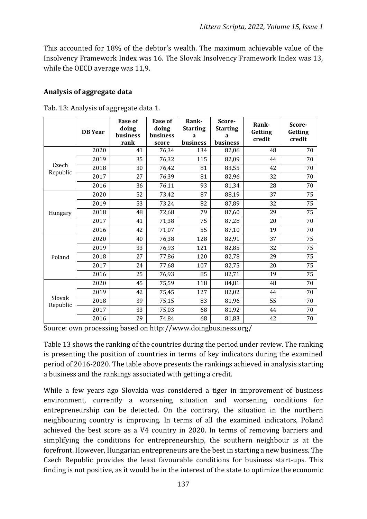This accounted for 18% of the debtor's wealth. The maximum achievable value of the Insolvency Framework Index was 16. The Slovak Insolvency Framework Index was 13, while the OECD average was 11,9.

#### **Analysis of aggregate data**

|                    | <b>DB</b> Year | Ease of<br>doing<br>business<br>rank | Ease of<br>doing<br><b>business</b><br>score | Rank-<br><b>Starting</b><br>a<br>business | Score-<br><b>Starting</b><br>a<br>business | Rank-<br>Getting<br>credit | Score-<br>Getting<br>credit |
|--------------------|----------------|--------------------------------------|----------------------------------------------|-------------------------------------------|--------------------------------------------|----------------------------|-----------------------------|
|                    | 2020           | 41                                   | 76,34                                        | 134                                       | 82,06                                      | 48                         | 70                          |
|                    | 2019           | 35                                   | 76,32                                        | 115                                       | 82,09                                      | 44                         | 70                          |
| Czech<br>Republic  | 2018           | 30                                   | 76,42                                        | 81                                        | 83,55                                      | 42                         | 70                          |
|                    | 2017           | 27                                   | 76,39                                        | 81                                        | 82,96                                      | 32                         | 70                          |
|                    | 2016           | 36                                   | 76,11                                        | 93                                        | 81,34                                      | 28                         | 70                          |
|                    | 2020           | 52                                   | 73,42                                        | 87                                        | 88,19                                      | 37                         | 75                          |
|                    | 2019           | 53                                   | 73,24                                        | 82                                        | 87,89                                      | 32                         | 75                          |
| Hungary            | 2018           | 48                                   | 72,68                                        | 79                                        | 87,60                                      | 29                         | 75                          |
|                    | 2017           | 41                                   | 71,38                                        | 75                                        | 87,28                                      | 20                         | 70                          |
|                    | 2016           | 42                                   | 71,07                                        | 55                                        | 87,10                                      | 19                         | 70                          |
| Poland             | 2020           | 40                                   | 76,38                                        | 128                                       | 82,91                                      | 37                         | 75                          |
|                    | 2019           | 33                                   | 76,93                                        | 121                                       | 82,85                                      | 32                         | 75                          |
|                    | 2018           | 27                                   | 77,86                                        | 120                                       | 82,78                                      | 29                         | 75                          |
|                    | 2017           | 24                                   | 77,68                                        | 107                                       | 82,75                                      | 20                         | 75                          |
|                    | 2016           | 25                                   | 76,93                                        | 85                                        | 82,71                                      | 19                         | 75                          |
| Slovak<br>Republic | 2020           | 45                                   | 75,59                                        | 118                                       | 84,81                                      | 48                         | 70                          |
|                    | 2019           | 42                                   | 75,45                                        | 127                                       | 82,02                                      | 44                         | 70                          |
|                    | 2018           | 39                                   | 75,15                                        | 83                                        | 81,96                                      | 55                         | 70                          |
|                    | 2017           | 33                                   | 75,03                                        | 68                                        | 81,92                                      | 44                         | 70                          |
|                    | 2016           | 29                                   | 74,84                                        | 68                                        | 81,83                                      | 42                         | 70                          |

Tab. 13: Analysis of aggregate data 1.

Source: own processing based on http://www.doingbusiness.org/

Table 13 shows the ranking of the countries during the period under review. The ranking is presenting the position of countries in terms of key indicators during the examined period of 2016-2020. The table above presents the rankings achieved in analysis starting a business and the rankings associated with getting a credit.

While a few years ago Slovakia was considered a tiger in improvement of business environment, currently a worsening situation and worsening conditions for entrepreneurship can be detected. On the contrary, the situation in the northern neighbouring country is improving. In terms of all the examined indicators, Poland achieved the best score as a V4 country in 2020. In terms of removing barriers and simplifying the conditions for entrepreneurship, the southern neighbour is at the forefront. However, Hungarian entrepreneurs are the best in starting a new business. The Czech Republic provides the least favourable conditions for business start-ups. This finding is not positive, as it would be in the interest of the state to optimize the economic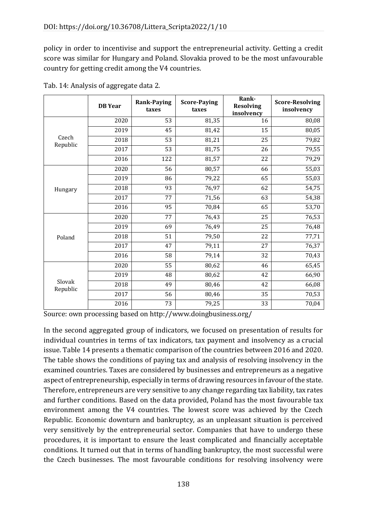policy in order to incentivise and support the entrepreneurial activity. Getting a credit score was similar for Hungary and Poland. Slovakia proved to be the most unfavourable country for getting credit among the V4 countries.

|                   | <b>DB</b> Year | <b>Rank-Paying</b><br>taxes | <b>Score-Paying</b><br>taxes | Rank-<br><b>Resolving</b><br>insolvency | <b>Score-Resolving</b><br>insolvency |
|-------------------|----------------|-----------------------------|------------------------------|-----------------------------------------|--------------------------------------|
|                   | 2020           | 53                          | 81,35                        | 16                                      | 80,08                                |
|                   | 2019           | 45                          | 81,42                        | 15                                      | 80,05                                |
| Czech<br>Republic | 2018           | 53                          | 81,21                        | 25                                      | 79,82                                |
|                   | 2017           | 53                          | 81,75                        | 26                                      | 79,55                                |
|                   | 2016           | 122                         | 81,57                        | 22                                      | 79,29                                |
|                   | 2020           | 56                          | 80,57                        | 66                                      | 55,03                                |
|                   | 2019           | 86                          | 79,22                        | 65                                      | 55,03                                |
| Hungary           | 2018           | 93                          | 76,97                        | 62                                      | 54,75                                |
|                   | 2017           | 77                          | 71,56                        | 63                                      | 54,38                                |
|                   | 2016           | 95                          | 70,84                        | 65                                      | 53,70                                |
|                   | 2020           | 77                          | 76,43                        | 25                                      | 76,53                                |
|                   | 2019           | 69                          | 76,49                        | 25                                      | 76,48                                |
| Poland            | 2018           | 51                          | 79,50                        | 22                                      | 77,71                                |
|                   | 2017           | 47                          | 79,11                        | 27                                      | 76,37                                |
|                   | 2016           | 58                          | 79,14                        | 32                                      | 70,43                                |
|                   | 2020           | 55                          | 80,62                        | 46                                      | 65,45                                |
|                   | 2019           | 48                          | 80,62                        | 42                                      | 66,90                                |
| Slovak            | 2018           | 49                          | 80,46                        | 42                                      | 66,08                                |
| Republic          | 2017           | 56                          | 80,46                        | 35                                      | 70,53                                |
|                   | 2016           | 73                          | 79,25                        | 33                                      | 70,04                                |

Tab. 14: Analysis of aggregate data 2.

Source: own processing based on http://www.doingbusiness.org/

In the second aggregated group of indicators, we focused on presentation of results for individual countries in terms of tax indicators, tax payment and insolvency as a crucial issue. Table 14 presents a thematic comparison of the countries between 2016 and 2020. The table shows the conditions of paying tax and analysis of resolving insolvency in the examined countries. Taxes are considered by businesses and entrepreneurs as a negative aspect of entrepreneurship, especially in terms of drawing resources in favour of the state. Therefore, entrepreneurs are very sensitive to any change regarding tax liability, tax rates and further conditions. Based on the data provided, Poland has the most favourable tax environment among the V4 countries. The lowest score was achieved by the Czech Republic. Economic downturn and bankruptcy, as an unpleasant situation is perceived very sensitively by the entrepreneurial sector. Companies that have to undergo these procedures, it is important to ensure the least complicated and financially acceptable conditions. It turned out that in terms of handling bankruptcy, the most successful were the Czech businesses. The most favourable conditions for resolving insolvency were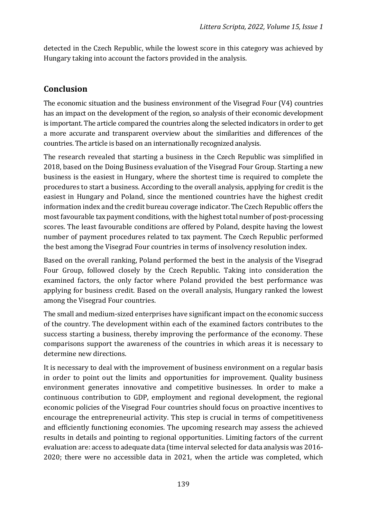detected in the Czech Republic, while the lowest score in this category was achieved by Hungary taking into account the factors provided in the analysis.

## **Conclusion**

The economic situation and the business environment of the Visegrad Four (V4) countries has an impact on the development of the region, so analysis of their economic development is important. The article compared the countries along the selected indicators in order to get a more accurate and transparent overview about the similarities and differences of the countries. The article is based on an internationally recognized analysis.

The research revealed that starting a business in the Czech Republic was simplified in 2018, based on the Doing Business evaluation of the Visegrad Four Group. Starting a new business is the easiest in Hungary, where the shortest time is required to complete the procedures to start a business. According to the overall analysis, applying for credit is the easiest in Hungary and Poland, since the mentioned countries have the highest credit information index and the credit bureau coverage indicator. The Czech Republic offers the most favourable tax payment conditions, with the highest total number of post-processing scores. The least favourable conditions are offered by Poland, despite having the lowest number of payment procedures related to tax payment. The Czech Republic performed the best among the Visegrad Four countries in terms of insolvency resolution index.

Based on the overall ranking, Poland performed the best in the analysis of the Visegrad Four Group, followed closely by the Czech Republic. Taking into consideration the examined factors, the only factor where Poland provided the best performance was applying for business credit. Based on the overall analysis, Hungary ranked the lowest among the Visegrad Four countries.

The small and medium-sized enterprises have significant impact on the economic success of the country. The development within each of the examined factors contributes to the success starting a business, thereby improving the performance of the economy. These comparisons support the awareness of the countries in which areas it is necessary to determine new directions.

It is necessary to deal with the improvement of business environment on a regular basis in order to point out the limits and opportunities for improvement. Quality business environment generates innovative and competitive businesses. In order to make a continuous contribution to GDP, employment and regional development, the regional economic policies of the Visegrad Four countries should focus on proactive incentives to encourage the entrepreneurial activity. This step is crucial in terms of competitiveness and efficiently functioning economies. The upcoming research may assess the achieved results in details and pointing to regional opportunities. Limiting factors of the current evaluation are: access to adequate data (time interval selected for data analysis was 2016- 2020; there were no accessible data in 2021, when the article was completed, which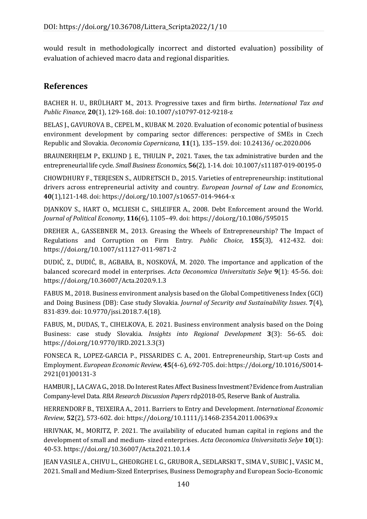would result in methodologically incorrect and distorted evaluation) possibility of evaluation of achieved macro data and regional disparities.

## **References**

BACHER H. U., BRÜLHART M., 2013. Progressive taxes and firm births. *International Tax and Public Finance*, **20**(1), 129-168. doi: 10.1007/s10797-012-9218-z

BELAS J., GAVUROVA B., CEPEL M., KUBAK M. 2020. Evaluation of economic potential of business environment development by comparing sector differences: perspective of SMEs in Czech Republic and Slovakia. *Oeconomia Copernicana*, **11**(1), 135–159. doi: 10.24136/ oc.2020.006

BRAUNERHJELM P., EKLUND J. E., THULIN P., 2021. Taxes, the tax administrative burden and the entrepreneurial life cycle. *Small Business Economics*, **56**(2), 1-14. doi: 10.1007/s11187-019-00195-0

CHOWDHURY F., TERJESEN S., AUDRETSCH D., 2015. Varieties of entrepreneurship: institutional drivers across entrepreneurial activity and country*. European Journal of Law and Economics*, **40**(1),121-148. doi: https://doi.org/10.1007/s10657-014-9464-x

DJANKOV S., HART O., MCLIESH C., SHLEIFER A., 2008. Debt Enforcement around the World. *Journal of Political Economy*, **116**(6), 1105–49. doi: https://doi.org/10.1086/595015

DREHER A., GASSEBNER M., 2013. Greasing the Wheels of Entrepreneurship? The Impact of Regulations and Corruption on Firm Entry. *Public Choice,* **155**(3), 412-432. doi: https://doi.org/10.1007/s11127-011-9871-2

DUDIĆ, Z., DUDIĆ, B., AGBABA, B., NOSKOVÁ, M. 2020. The importance and application of the balanced scorecard model in enterprises. *Acta Oeconomica Universitatis Selye* **9**(1): 45-56. doi: https://doi.org/10.36007/Acta.2020.9.1.3

FABUS M., 2018. Business environment analysis based on the Global Competitiveness Index (GCI) and Doing Business (DB): Case study Slovakia. *Journal of Security and Sustainability Issues*. **7**(4), 831-839. doi: 10.9770/jssi.2018.7.4(18).

FABUS, M., DUDAS, T., CIHELKOVA, E. 2021. Business environment analysis based on the Doing Business: case study Slovakia. *Insights into Regional Development* **3**(3): 56-65. doi: https://doi.org/10.9770/IRD.2021.3.3(3)

FONSECA R., LOPEZ-GARCIA P., PISSARIDES C. A., 2001. Entrepreneurship, Start-up Costs and Employment. *European Economic Review*, **45**(4-6), 692-705. doi: https://doi.org/10.1016/S0014- 2921(01)00131-3

HAMBUR J., LA CAVA G., 2018. Do Interest Rates Affect Business Investment? Evidence from Australian Company-level Data. *RBA Research Discussion Papers* rdp2018-05, Reserve Bank of Australia.

HERRENDORF B., TEIXEIRA A., 2011. Barriers to Entry and Development. *International Economic Review,* **52**(2), 573-602. doi: https://doi.org/10.1111/j.1468-2354.2011.00639.x

HRIVNAK, M., MORITZ, P. 2021. The availability of educated human capital in regions and the development of small and medium- sized enterprises. *Acta Oeconomica Universitatis Selye* **10**(1): 40-53. https://doi.org/10.36007/Acta.2021.10.1.4

JEAN VASILE A., CHIVU L., GHEORGHE I. G., GRUBOR A., SEDLARSKI T., SIMA V., SUBIC J., VASIC M., 2021. Small and Medium-Sized Enterprises, Business Demography and European Socio-Economic